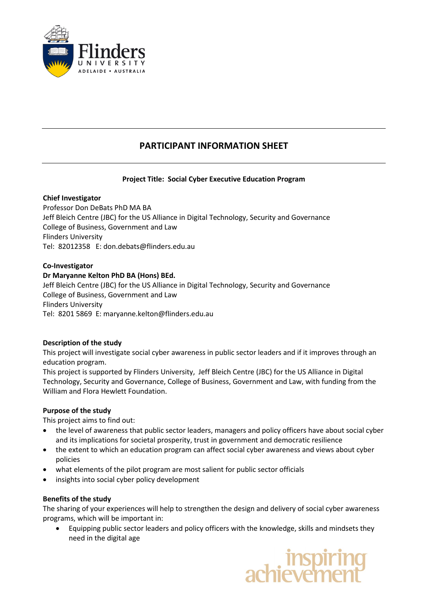

# **PARTICIPANT INFORMATION SHEET**

# **Project Title: Social Cyber Executive Education Program**

# **Chief Investigator**

Professor Don DeBats PhD MA BA Jeff Bleich Centre (JBC) for the US Alliance in Digital Technology, Security and Governance College of Business, Government and Law Flinders University Tel: 82012358 E: [don.debats@flinders.edu.au](mailto:don.debats@flinders.edu.au)

# **Co-Investigator**

# **Dr Maryanne Kelton PhD BA (Hons) BEd.**

Jeff Bleich Centre (JBC) for the US Alliance in Digital Technology, Security and Governance College of Business, Government and Law Flinders University Tel: 8201 5869 E: maryanne.kelton@flinders.edu.au

#### **Description of the study**

This project will investigate social cyber awareness in public sector leaders and if it improves through an education program.

This project is supported by Flinders University, Jeff Bleich Centre (JBC) for the US Alliance in Digital Technology, Security and Governance, College of Business, Government and Law, with funding from the William and Flora Hewlett Foundation.

#### **Purpose of the study**

This project aims to find out:

- the level of awareness that public sector leaders, managers and policy officers have about social cyber and its implications for societal prosperity, trust in government and democratic resilience
- the extent to which an education program can affect social cyber awareness and views about cyber policies
- what elements of the pilot program are most salient for public sector officials
- insights into social cyber policy development

#### **Benefits of the study**

The sharing of your experiences will help to strengthen the design and delivery of social cyber awareness programs, which will be important in:

• Equipping public sector leaders and policy officers with the knowledge, skills and mindsets they need in the digital age

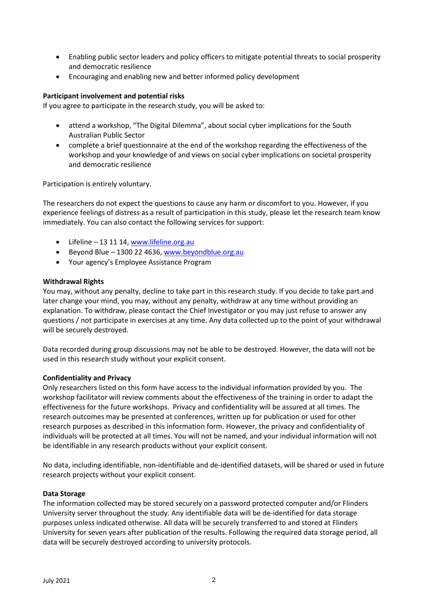- Enabling public sector leaders and policy officers to mitigate potential threats to social prosperity and democratic resilience
- Encouraging and enabling new and better informed policy development

### **Participant involvement and potential risks**

If you agree to participate in the research study, you will be asked to:

- attend a workshop, "The Digital Dilemma", about social cyber implications for the South Australian Public Sector
- complete a brief questionnaire at the end of the workshop regarding the effectiveness of the workshop and your knowledge of and views on social cyber implications on societal prosperity and democratic resilience

Participation is entirely voluntary.

The researchers do not expect the questions to cause any harm or discomfort to you. However, if you experience feelings of distress as a result of participation in this study, please let the research team know immediately. You can also contact the following services for support:

- Lifeline 13 11 14, [www.lifeline.org.au](http://www.lifeline.org.au/)
- Beyond Blue 1300 22 4636, [www.beyondblue.org.au](http://www.beyondblue.org.au/)
- Your agency's Employee Assistance Program

# **Withdrawal Rights**

You may, without any penalty, decline to take part in this research study. If you decide to take part and later change your mind, you may, without any penalty, withdraw at any time without providing an explanation. To withdraw, please contact the Chief Investigator or you may just refuse to answer any questions / not participate in exercises at any time. Any data collected up to the point of your withdrawal will be securely destroyed.

Data recorded during group discussions may not be able to be destroyed. However, the data will not be used in this research study without your explicit consent.

#### **Confidentiality and Privacy**

Only researchers listed on this form have access to the individual information provided by you. The workshop facilitator will review comments about the effectiveness of the training in order to adapt the effectiveness for the future workshops. Privacy and confidentiality will be assured at all times. The research outcomes may be presented at conferences, written up for publication or used for other research purposes as described in this information form. However, the privacy and confidentiality of individuals will be protected at all times. You will not be named, and your individual information will not be identifiable in any research products without your explicit consent.

No data, including identifiable, non-identifiable and de-identified datasets, will be shared or used in future research projects without your explicit consent.

#### **Data Storage**

The information collected may be stored securely on a password protected computer and/or Flinders University server throughout the study. Any identifiable data will be de-identified for data storage purposes unless indicated otherwise. All data will be securely transferred to and stored at Flinders University for seven years after publication of the results. Following the required data storage period, all data will be securely destroyed according to university protocols.